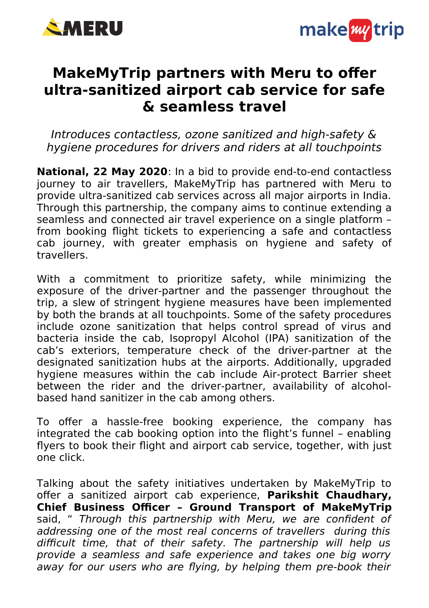



## **MakeMyTrip partners with Meru to offer ultra-sanitized airport cab service for safe & seamless travel**

Introduces contactless, ozone sanitized and high-safety & hygiene procedures for drivers and riders at all touchpoints

**National, 22 May 2020**: In a bid to provide end-to-end contactless journey to air travellers, MakeMyTrip has partnered with Meru to provide ultra-sanitized cab services across all major airports in India. Through this partnership, the company aims to continue extending a seamless and connected air travel experience on a single platform – from booking flight tickets to experiencing a safe and contactless cab journey, with greater emphasis on hygiene and safety of travellers.

With a commitment to prioritize safety, while minimizing the exposure of the driver-partner and the passenger throughout the trip, a slew of stringent hygiene measures have been implemented by both the brands at all touchpoints. Some of the safety procedures include ozone sanitization that helps control spread of virus and bacteria inside the cab, Isopropyl Alcohol (IPA) sanitization of the cab's exteriors, temperature check of the driver-partner at the designated sanitization hubs at the airports. Additionally, upgraded hygiene measures within the cab include Air-protect Barrier sheet between the rider and the driver-partner, availability of alcoholbased hand sanitizer in the cab among others.

To offer a hassle-free booking experience, the company has integrated the cab booking option into the flight's funnel – enabling flyers to book their flight and airport cab service, together, with just one click.

Talking about the safety initiatives undertaken by MakeMyTrip to offer a sanitized airport cab experience, **Parikshit Chaudhary, Chief Business Officer – Ground Transport of MakeMyTrip** said, " Through this partnership with Meru, we are confident of addressing one of the most real concerns of travellers during this difficult time, that of their safety. The partnership will help us provide a seamless and safe experience and takes one big worry away for our users who are flying, by helping them pre-book their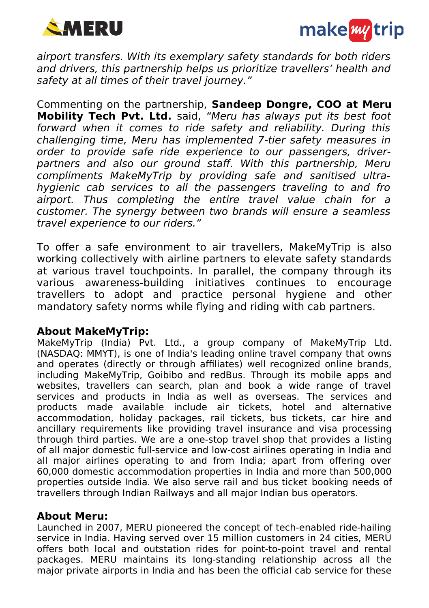



airport transfers. With its exemplary safety standards for both riders and drivers, this partnership helps us prioritize travellers' health and safety at all times of their travel journey."

Commenting on the partnership, **Sandeep Dongre, COO at Meru Mobility Tech Pvt. Ltd.** said, "Meru has always put its best foot forward when it comes to ride safety and reliability. During this challenging time, Meru has implemented 7-tier safety measures in order to provide safe ride experience to our passengers, driverpartners and also our ground staff. With this partnership, Meru compliments MakeMyTrip by providing safe and sanitised ultrahygienic cab services to all the passengers traveling to and fro airport. Thus completing the entire travel value chain for a customer. The synergy between two brands will ensure a seamless travel experience to our riders."

To offer a safe environment to air travellers, MakeMyTrip is also working collectively with airline partners to elevate safety standards at various travel touchpoints. In parallel, the company through its various awareness-building initiatives continues to encourage travellers to adopt and practice personal hygiene and other mandatory safety norms while flying and riding with cab partners.

## **About MakeMyTrip:**

MakeMyTrip (India) Pvt. Ltd., a group company of MakeMyTrip Ltd. (NASDAQ: MMYT), is one of India's leading online travel company that owns and operates (directly or through affiliates) well recognized online brands, including MakeMyTrip, Goibibo and redBus. Through its mobile apps and websites, travellers can search, plan and book a wide range of travel services and products in India as well as overseas. The services and products made available include air tickets, hotel and alternative accommodation, holiday packages, rail tickets, bus tickets, car hire and ancillary requirements like providing travel insurance and visa processing through third parties. We are a one-stop travel shop that provides a listing of all major domestic full-service and low-cost airlines operating in India and all major airlines operating to and from India; apart from offering over 60,000 domestic accommodation properties in India and more than 500,000 properties outside India. We also serve rail and bus ticket booking needs of travellers through Indian Railways and all major Indian bus operators.

## **About Meru:**

Launched in 2007, MERU pioneered the concept of tech-enabled ride-hailing service in India. Having served over 15 million customers in 24 cities, MERU offers both local and outstation rides for point-to-point travel and rental packages. MERU maintains its long-standing relationship across all the major private airports in India and has been the official cab service for these